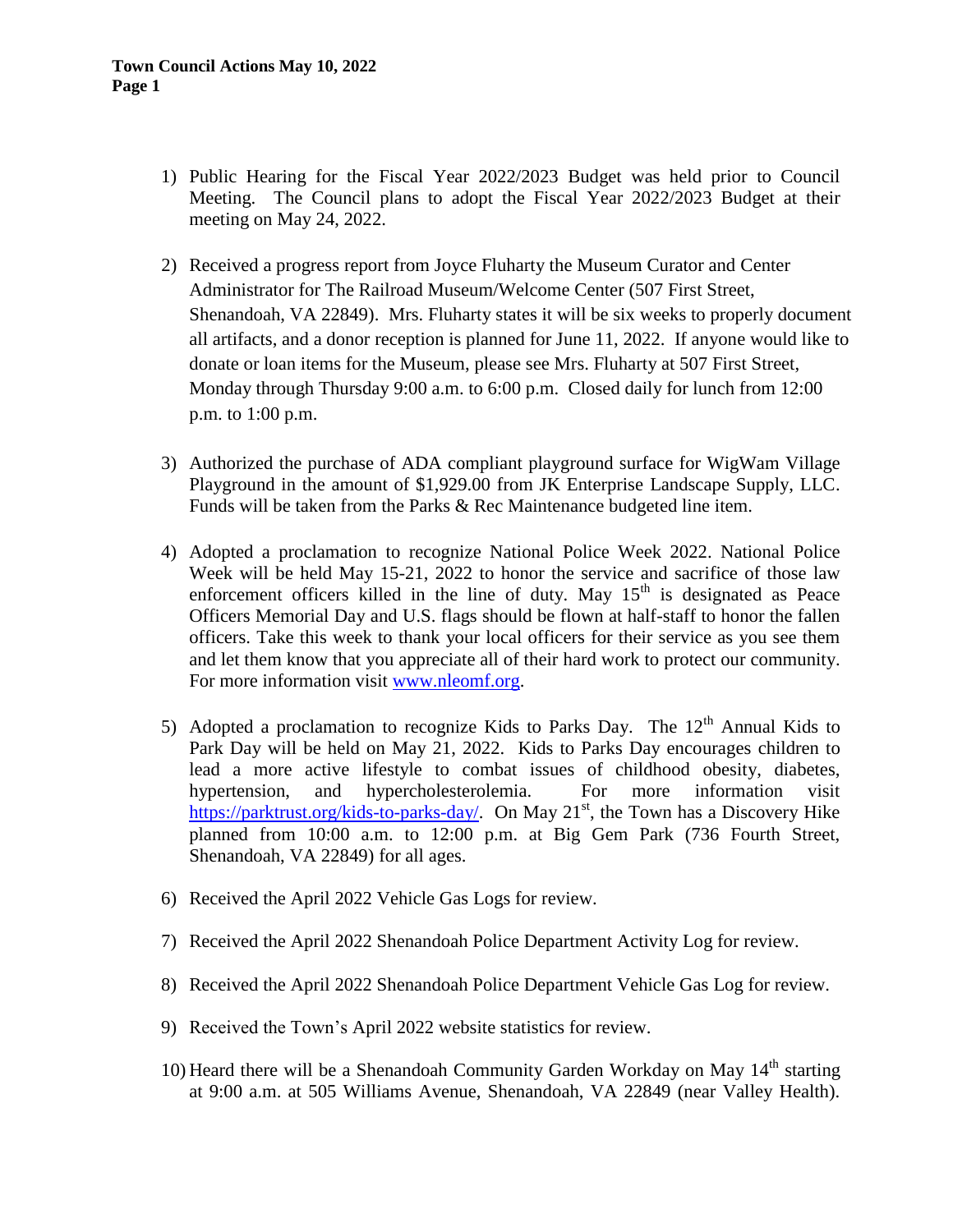- 1) Public Hearing for the Fiscal Year 2022/2023 Budget was held prior to Council Meeting. The Council plans to adopt the Fiscal Year 2022/2023 Budget at their meeting on May 24, 2022.
- 2) Received a progress report from Joyce Fluharty the Museum Curator and Center Administrator for The Railroad Museum/Welcome Center (507 First Street, Shenandoah, VA 22849). Mrs. Fluharty states it will be six weeks to properly document all artifacts, and a donor reception is planned for June 11, 2022. If anyone would like to donate or loan items for the Museum, please see Mrs. Fluharty at 507 First Street, Monday through Thursday 9:00 a.m. to 6:00 p.m. Closed daily for lunch from 12:00 p.m. to 1:00 p.m.
- 3) Authorized the purchase of ADA compliant playground surface for WigWam Village Playground in the amount of \$1,929.00 from JK Enterprise Landscape Supply, LLC. Funds will be taken from the Parks & Rec Maintenance budgeted line item.
- 4) Adopted a proclamation to recognize National Police Week 2022. National Police Week will be held May 15-21, 2022 to honor the service and sacrifice of those law enforcement officers killed in the line of duty. May  $15<sup>th</sup>$  is designated as Peace Officers Memorial Day and U.S. flags should be flown at half-staff to honor the fallen officers. Take this week to thank your local officers for their service as you see them and let them know that you appreciate all of their hard work to protect our community. For more information visit [www.nleomf.org.](http://www.nleomf.org/)
- 5) Adopted a proclamation to recognize Kids to Parks Day. The  $12<sup>th</sup>$  Annual Kids to Park Day will be held on May 21, 2022. Kids to Parks Day encourages children to lead a more active lifestyle to combat issues of childhood obesity, diabetes, hypertension, and hypercholesterolemia. For more information visit [https://parktrust.org/kids-to-parks-day/.](https://parktrust.org/kids-to-parks-day/) On May  $21^{st}$ , the Town has a Discovery Hike planned from 10:00 a.m. to 12:00 p.m. at Big Gem Park (736 Fourth Street, Shenandoah, VA 22849) for all ages.
- 6) Received the April 2022 Vehicle Gas Logs for review.
- 7) Received the April 2022 Shenandoah Police Department Activity Log for review.
- 8) Received the April 2022 Shenandoah Police Department Vehicle Gas Log for review.
- 9) Received the Town's April 2022 website statistics for review.
- 10) Heard there will be a Shenandoah Community Garden Workday on May  $14<sup>th</sup>$  starting at 9:00 a.m. at 505 Williams Avenue, Shenandoah, VA 22849 (near Valley Health).